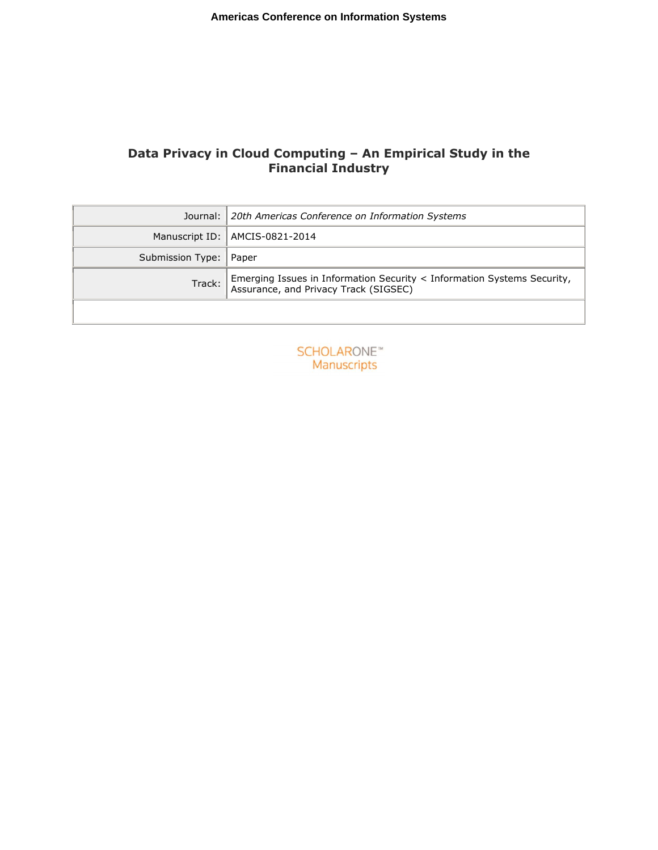Olga Wenge, Ulrich Lampe, Alexander Müller, and Ralf Schaarschmidt: Data Privacy in Cloud Computing - An Empirical Study in the Financial Industry. In: Proceedings of the 20th Americas Conference on Information Systems (AMCIS), August 2014

# **Data Privacy in Cloud Computing – An Empirical Study in the Financial Industry**

|                          | Journal: 20th Americas Conference on Information Systems                                                      |  |  |
|--------------------------|---------------------------------------------------------------------------------------------------------------|--|--|
|                          | Manuscript ID:   AMCIS-0821-2014                                                                              |  |  |
| Submission Type:   Paper |                                                                                                               |  |  |
| Track:                   | Emerging Issues in Information Security < Information Systems Security, Assurance, and Privacy Track (SIGSEC) |  |  |
|                          |                                                                                                               |  |  |

**SCHOLARONE™** Manuscripts

The documents distributed by this server have been provided by the contributing authors as a means to ensure timely dissemination of scholarly and technical work on a non-commercial basis. Copyright and all rights therein are maintained by the authors or by other copyright holders, not withstanding that they have offered their works here electronically. It is understood that all persons copying this information will adhere to the terms and constraints invoked by each author's copyright. These works may not be reposted without the explicit permission of the copyright holder.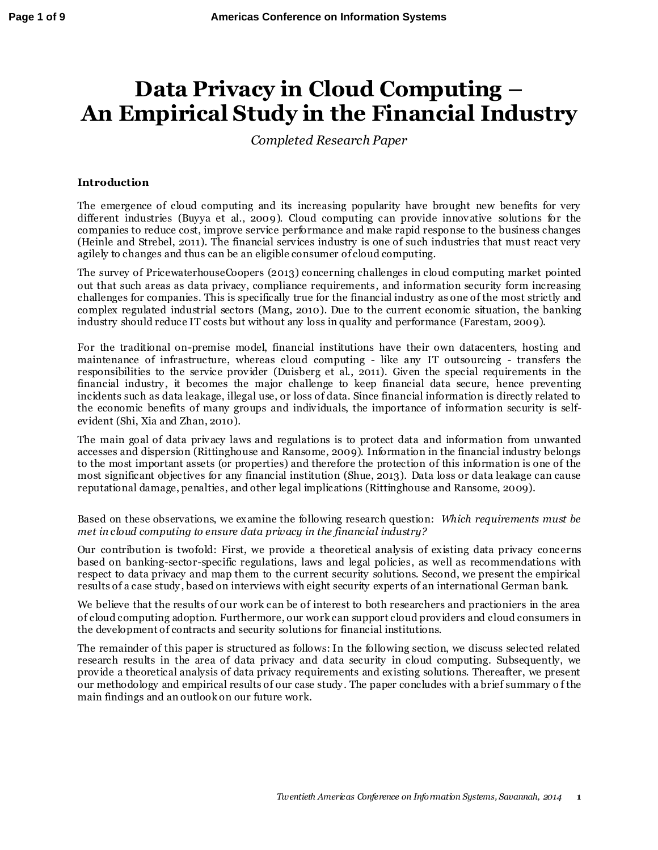# **Data Privacy in Cloud Computing – An Empirical Study in the Financial Industry**

*Completed Research Paper*

#### **Introduction**

The emergence of cloud computing and its increasing popularity have brought new benefits for very different industries (Buyya et al., 2009). Cloud computing can provide innovative solutions for the companies to reduce cost, improve service performance and make rapid response to the business changes (Heinle and Strebel, 2011). The financial services industry is one of such industries that must react very agilely to changes and thus can be an eligible consumer of cloud computing.

The survey of PricewaterhouseCoopers (2013) concerning challenges in cloud computing market pointed out that such areas as data privacy, compliance requirements, and information security form increasing challenges for companies. This is specifically true for the financial industry as one of the most strictly and complex regulated industrial sectors (Mang, 2010). Due to the current economic situation, the banking industry should reduce IT costs but without any loss in quality and performance (Farestam, 2009).

For the traditional on-premise model, financial institutions have their own datacenters, hosting and maintenance of infrastructure, whereas cloud computing - like any IT outsourcing - transfers the responsibilities to the service provider (Duisberg et al., 2011). Given the special requirements in the financial industry , it becomes the major challenge to keep financial data secure, hence preventing incidents such as data leakage, illegal use, or loss of data. Since financial information is directly related to the economic benefits of many groups and individuals, the importance of information security is selfevident (Shi, Xia and Zhan, 2010).

The main goal of data privacy laws and regulations is to protect data and information from unwanted accesses and dispersion (Rittinghouse and Ransome, 2009). Information in the financial industry belongs to the most important assets (or properties) and therefore the protection of this information is one of the most significant objectives for any financial institution (Shue, 2013). Data loss or data leakage can cause reputational damage, penalties, and other legal implications (Rittinghouse and Ransome, 2009).

Based on these observations, we examine the following research question: *Which requirements must be met in cloud computing to ensure data privacy in the financial industry?*

Our contribution is twofold: First, we provide a theoretical analysis of existing data privacy conc erns based on banking-sector-specific regulations, laws and legal policies, as well as recommendations with respect to data privacy and map them to the current security solutions. Second, we present the empirical results of a case study , based on interviews with eight security experts of an international German bank.

We believe that the results of our work can be of interest to both researchers and practioniers in the area of cloud computing adoption. Furthermore, our work can support cloud providers and cloud consumers in the development of contracts and security solutions for financial institutions.

The remainder of this paper is structured as follows: In the following section, we discuss selected related research results in the area of data privacy and data security in cloud computing. Subsequently, we provide a theoretical analysis of data privacy requirements and existing solutions. Thereafter, we present our methodology and empirical results of our case study . The paper concludes with a brief summary o f the main findings and an outlook on our future work.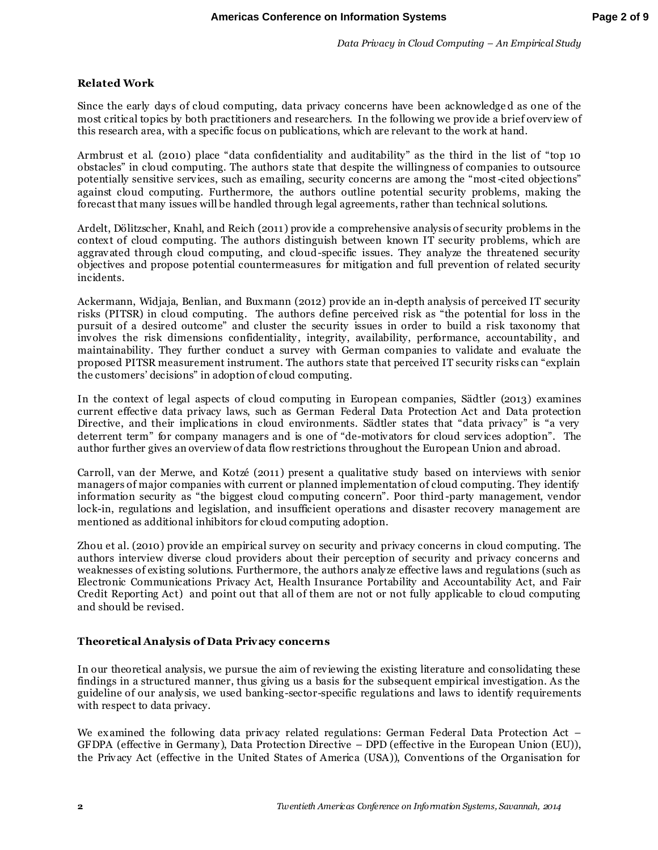*Data Privacy in Cloud Computing – An Empirical Study*

#### **Related Work**

Since the early day s of cloud computing, data privacy concerns have been acknowledge d as one of the most critical topics by both practitioners and researchers. In the following we prov ide a brief overview of this research area, with a specific focus on publications, which are relevant to the work at hand.

Armbrust et al. (2010) place "data confidentiality and auditability" as the third in the list of "top 10 obstacles" in cloud computing. The authors state that despite the willingness of companies to outsource potentially sensitive services, such as emailing, security concerns are among the "most-cited objections" against cloud computing. Furthermore, the authors outline potential security problems, making the forecast that many issues will be handled through legal agreements, rather than technical solutions.

Ardelt, Dölitzscher, Knahl, and Reich (2011) provide a comprehensive analysis of security problems in the context of cloud computing. The authors distinguish between known IT security problems, which are aggravated through cloud computing, and cloud-specific issues. They analyze the threatened security objectives and propose potential countermeasures for mitigation and full prevention of related security incidents.

Ackermann, Widjaja, Benlian, and Buxmann (2012) provide an in-depth analysis of perceived IT security risks (PITSR) in cloud computing. The authors define perceived risk as "the potential for loss in the pursuit of a desired outcome" and cluster the security issues in order to build a risk taxonomy that involves the risk dimensions confidentiality, integrity, availability, performance, accountability, and maintainability. They further conduct a survey with German companies to validate and evaluate the proposed PITSR measurement instrument. The authors state that perceived IT security risks can "explain the customers' decisions" in adoption of cloud computing.

In the context of legal aspects of cloud computing in European companies, Sädtler (2013) examines current effective data privacy laws, such as German Federal Data Protection Act and Data protection Directive, and their implications in cloud environments. Sädtler states that "data privacy" is "a very deterrent term" for company managers and is one of "de-motivators for cloud services adoption". The author further gives an overview of data flow restrictions throughout the European Union and abroad.

Carroll, van der Merwe, and Kotzé (2011) present a qualitative study based on interviews with senior managers of major companies with current or planned implementation of cloud computing. They identify information security as "the biggest cloud computing concern". Poor third-party management, vendor lock-in, regulations and legislation, and insufficient operations and disaster recovery management are mentioned as additional inhibitors for cloud computing adoption.

Zhou et al. (2010) provide an empirical survey on security and privacy concerns in cloud computing. The authors interview diverse cloud providers about their perception of security and privacy concerns and weaknesses of existing solutions. Furthermore, the authors analy ze effective laws and regulations (such as Electronic Communications Privacy Act, Health Insurance Portability and Accountability Act, and Fair Credit Reporting Act) and point out that all of them are not or not fully applicable to cloud computing and should be revised.

#### **Theoretical Analysis of Data Privacy concerns**

In our theoretical analysis, we pursue the aim of reviewing the existing literature and consolidating these findings in a structured manner, thus giving us a basis for the subsequent empirical investigation. As the guideline of our analy sis, we used banking-sector-specific regulations and laws to identify requirements with respect to data privacy.

We examined the following data privacy related regulations: German Federal Data Protection Act – GFDPA (effective in Germany ), Data Protection Directive – DPD (effective in the European Union (EU)), the Privacy Act (effective in the United States of America (USA)), Conventions of the Organisation for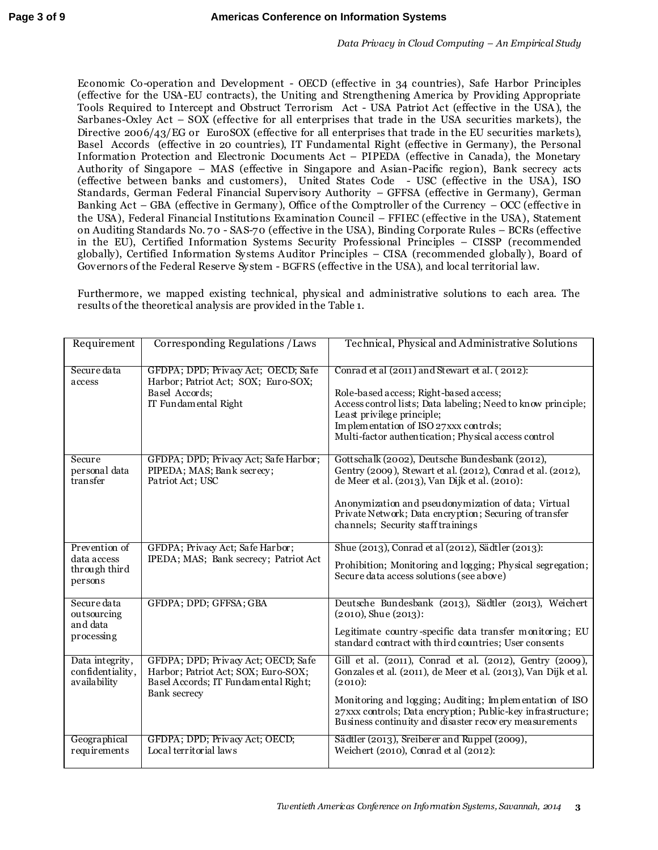Economic Co-operation and Development - OECD (effective in 34 countries), Safe Harbor Principles (effective for the USA-EU contracts), the Uniting and Strengthening America by Providing Appropriate Tools Required to Intercept and Obstruct Terrorism Act - USA Patriot Act (effective in the USA), the Sarbanes-Oxley Act – SOX (effective for all enterprises that trade in the USA [securities markets\)](http://en.wikipedia.org/wiki/Capital_market), the Directive [2006/43/EG](http://eur-lex.europa.eu/LexUriServ/LexUriServ.do?uri=OJ:L:2006:157:0087:0107:DE:PDF) or EuroSOX (effective for all enterprises that trade in the EU [securities markets\)](http://en.wikipedia.org/wiki/Capital_market), Basel Accords (effective in 20 countries), IT Fundamental Right (effective in Germany), the Personal Information Protection and Electronic Documents Act – PIPEDA (effective in Canada), the Monetary Authority of Singapore – MAS (effective in Singapore and Asian-Pacific region), Bank secrecy acts (effective between banks and customers), United States Code - USC (effective in the USA), ISO Standards, German Federal Financial Supervisory Authority – GFFSA (effective in Germany), German Banking Act – GBA (effective in Germany ), Office of the Comptroller of the Currency – OCC (effective in the USA), Federal Financial Institutions Examination Council – FFIEC (effective in the USA)[, Statement](http://en.wikipedia.org/wiki/Statement_on_Auditing_Standards)  [on Auditing Standards](http://en.wikipedia.org/wiki/Statement_on_Auditing_Standards) No. 70 - SAS-70 (effective in the USA), Binding Corporate Rules – BCRs (effective in the EU), Certified Information Systems Security Professional Principles – CISSP (recommended globally), Certified Information Sy stems Auditor Principles – CISA (recommended globally ), Board of Governors of the Federal Reserve Sy stem - BGFRS (effective in the USA), and local territorial law.

Furthermore, we mapped existing technical, phy sical and administrative solutions to each area. The results of the theoretical analysis are provided in the Table 1.

| Requirement                                              | Corresponding Regulations / Laws                                                                                                          | Technical, Physical and Administrative Solutions                                                                                                                                                                                                                                                                          |
|----------------------------------------------------------|-------------------------------------------------------------------------------------------------------------------------------------------|---------------------------------------------------------------------------------------------------------------------------------------------------------------------------------------------------------------------------------------------------------------------------------------------------------------------------|
| Secure data<br>access                                    | GFDPA; DPD; Privacy Act; OECD; Safe<br>Harbor; Patriot Act; SOX; Euro-SOX;<br>Basel Accords;<br>IT Fundamental Right                      | Conrad et al (2011) and Stewart et al. (2012):<br>Role-based access; Right-based access;<br>Access control lists; Data labeling; Need to know principle;<br>Least privilege principle;<br>Implementation of ISO 27xxx controls;<br>Multi-factor authentication; Physical access control                                   |
| Secure<br>personal data<br>transfer                      | GFDPA; DPD; Privacy Act; Safe Harbor;<br>PIPEDA; MAS; Bank secrecy;<br>Patriot Act; USC                                                   | Gottschalk (2002), Deutsche Bundesbank (2012),<br>Gentry (2009), Stewart et al. (2012), Conrad et al. (2012),<br>de Meer et al. (2013), Van Dijk et al. (2010):<br>Anonymization and pseudonymization of data; Virtual<br>Private Network; Data encryption; Securing of transfer<br>channels; Security staff trainings    |
| Prevention of<br>data access<br>through third<br>persons | GFDPA; Privacy Act; Safe Harbor;<br>IPEDA; MAS; Bank secrecy; Patriot Act                                                                 | Shue (2013), Conrad et al (2012), Sädtler (2013):<br>Prohibition; Monitoring and logging; Physical segregation;<br>Secure data access solutions (see above)                                                                                                                                                               |
| Secure data<br>outsourcing<br>and data<br>processing     | GFDPA; DPD; GFFSA; GBA                                                                                                                    | Deutsche Bundesbank (2013), Sädtler (2013), Weichert<br>$(2010)$ . Shue $(2013)$ :<br>Legitimate country-specific data transfer monitoring; EU<br>standard contract with third countries; User consents                                                                                                                   |
| Data integrity,<br>confidentiality,<br>availability      | GFDPA; DPD; Privacy Act; OECD; Safe<br>Harbor; Patriot Act; SOX; Euro-SOX;<br>Basel Accords; IT Fundamental Right;<br><b>Bank</b> secrecy | Gill et al. (2011), Conrad et al. (2012), Gentry (2009),<br>Gonzales et al. (2011), de Meer et al. (2013), Van Dijk et al.<br>(2010):<br>Monitoring and logging; Auditing; Implementation of ISO<br>27xxx controls; Data encryption; Public-key infrastructure;<br>Business continuity and disaster recovery measurements |
| Geographical<br>requirements                             | GFDPA; DPD; Privacy Act; OECD;<br>Local territorial laws                                                                                  | Sädtler (2013), Sreiberer and Ruppel (2009),<br>Weichert (2010), Conrad et al (2012):                                                                                                                                                                                                                                     |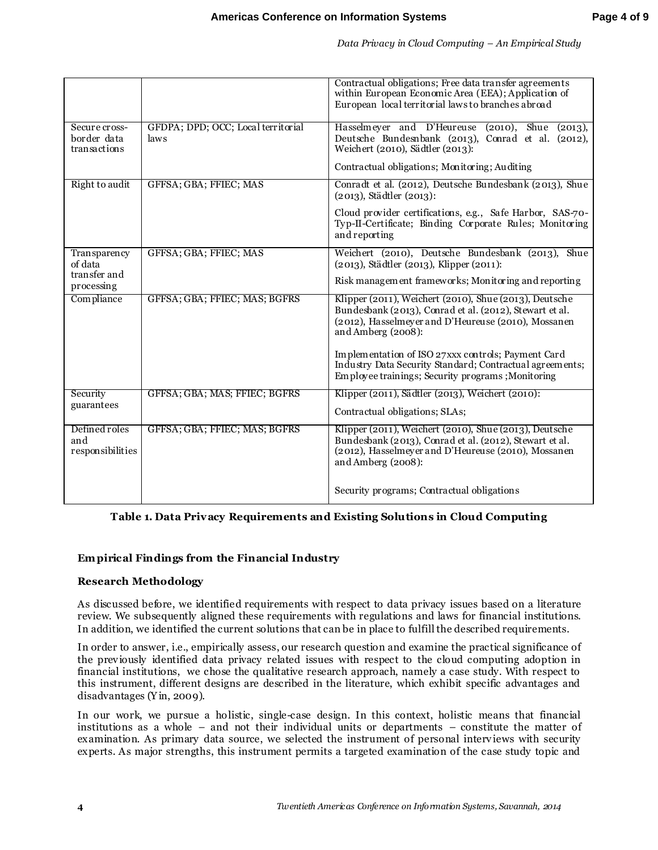| Data Privacy in Cloud Computing - An Empirical Study |  |  |  |  |  |
|------------------------------------------------------|--|--|--|--|--|

|                                              |                                            | Contractual obligations; Free data transfer agreements<br>within European Economic Area (EEA); Application of<br>European local territorial laws to branches abroad                            |  |  |
|----------------------------------------------|--------------------------------------------|------------------------------------------------------------------------------------------------------------------------------------------------------------------------------------------------|--|--|
| Secure cross-<br>border data<br>transactions | GFDPA; DPD; OCC; Local territorial<br>laws | Hasselmeyer and D'Heureuse (2010), Shue (2013),<br>Deutsche Bundesnbank (2013), Conrad et al. (2012),<br>Weichert (2010), Sädtler (2013):                                                      |  |  |
|                                              |                                            | Contractual obligations; Monitoring; Auditing                                                                                                                                                  |  |  |
| Right to audit                               | GFFSA; GBA; FFIEC; MAS                     | Conradt et al. (2012), Deutsche Bundesbank (2013), Shue<br>(2013), Städtler (2013):                                                                                                            |  |  |
|                                              |                                            | Cloud provider certifications, e.g., Safe Harbor, SAS-70-<br>Typ-II-Certificate; Binding Corporate Rules; Monitoring<br>and reporting                                                          |  |  |
| Transparency<br>of data                      | GFFSA; GBA; FFIEC; MAS                     | Weichert (2010), Deutsche Bundesbank (2013), Shue<br>(2013), Städtler (2013), Klipper (2011):                                                                                                  |  |  |
| transfer and<br>processing                   |                                            | Risk management frameworks; Monitoring and reporting                                                                                                                                           |  |  |
| Compliance                                   | GFFSA; GBA; FFIEC; MAS; BGFRS              | Klipper (2011), Weichert (2010), Shue (2013), Deutsche<br>Bundesbank (2013), Conrad et al. (2012), Stewart et al.<br>(2012), Hasselmeyer and D'Heureuse (2010), Mossanen<br>and Amberg (2008): |  |  |
|                                              |                                            | Implementation of ISO 27xxx controls; Payment Card<br>Industry Data Security Standard; Contractual agreements;<br>Employee trainings; Security programs; Monitoring                            |  |  |
| Security<br>guarantees                       | GFFSA; GBA; MAS; FFIEC; BGFRS              | Klipper (2011), Sädtler (2013), Weichert (2010):                                                                                                                                               |  |  |
|                                              |                                            | Contractual obligations; SLAs;                                                                                                                                                                 |  |  |
| Defined roles<br>and<br>responsibilities     | GFFSA; GBA; FFIEC; MAS; BGFRS              | Klipper (2011), Weichert (2010), Shue (2013), Deutsche<br>Bundesbank (2013), Conrad et al. (2012), Stewart et al.<br>(2012), Hasselmeyer and D'Heureuse (2010), Mossanen<br>and Amberg (2008): |  |  |
|                                              |                                            | Security programs; Contractual obligations                                                                                                                                                     |  |  |

### **Table 1. Data Privacy Requirements and Existing Solutions in Cloud Computing**

#### **Em pirical Findings from the Financial Industry**

#### **Research Methodology**

As discussed before, we identified requirements with respect to data privacy issues based on a literature review. We subsequently aligned these requirements with regulations and laws for financial institutions. In addition, we identified the current solutions that can be in place to fulfill the described requirements.

In order to answer, i.e., empirically assess, our research question and examine the practical significance of the previously identified data privacy related issues with respect to the cloud computing adoption in financial institutions, we chose the qualitative research approach, namely a case study. With respect to this instrument, different designs are described in the literature, which exhibit specific advantages and disadvantages (Y in, 2009).

In our work, we pursue a holistic, single-case design. In this context, holistic means that financial institutions as a whole – and not their individual units or departments – constitute the matter of examination. As primary data source, we selected the instrument of personal interviews with security experts. As major strengths, this instrument permits a targeted examination of the case study topic and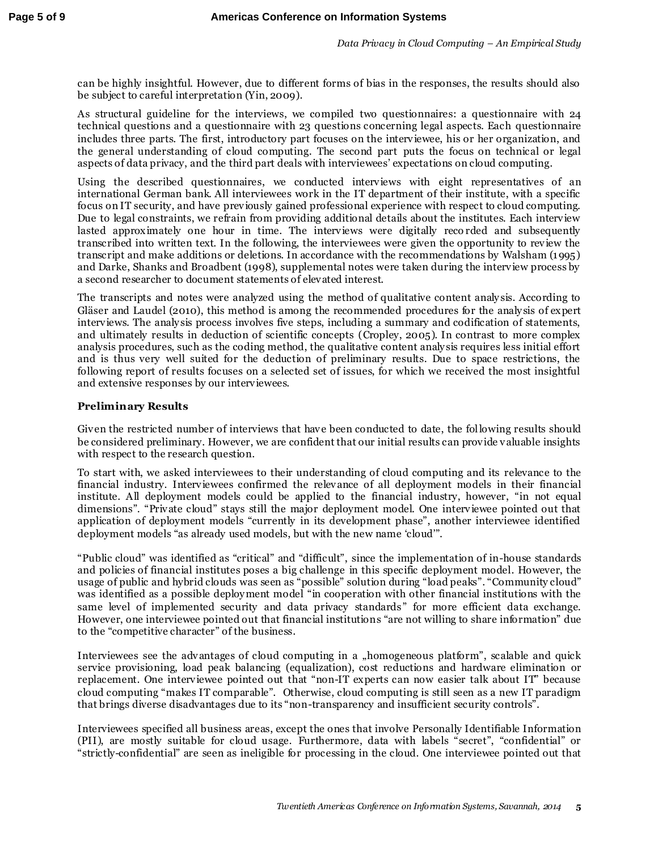can be highly insightful. However, due to different forms of bias in the responses, the results should also be subject to careful interpretation (Yin, 2009).

As structural guideline for the interviews, we compiled two questionnaires: a questionnaire with 24 technical questions and a questionnaire with 23 questions concerning legal aspects. Each questionnaire includes three parts. The first, introductory part focuses on the interviewee, his or her organization, and the general understanding of cloud computing. The second part puts the focus on technical or legal aspects of data privacy, and the third part deals with interviewees' expectations on cloud computing.

Using the described questionnaires, we conducted interviews with eight representatives of an international German bank. All interviewees work in the IT department of their institute, with a specific focus on IT security, and have previously gained professional experience with respect to cloud computing. Due to legal constraints, we refrain from providing additional details about the institutes. Each interview lasted approximately one hour in time. The interviews were digitally reco rded and subsequently transcribed into written text. In the following, the interviewees were given the opportunity to review the transcript and make additions or deletions. In accordance with the recommendations by Walsham (1995) and Darke, Shanks and Broadbent (1998), supplemental notes were taken during the interview process by a second researcher to document statements of elevated interest.

The transcripts and notes were analyzed using the method of qualitative content analy sis. According to Gläser and Laudel (2010), this method is among the recommended procedures for the analy sis of expert interviews. The analy sis process involves five steps, including a summary and codification of statements, and ultimately results in deduction of scientific concepts (Cropley, 2005). In contrast to more complex analysis procedures, such as the coding method, the qualitative content analy sis requires less initial effort and is thus very well suited for the deduction of preliminary results. Due to space restrictions, the following report of results focuses on a selected set of issues, for which we received the most insightful and extensive responses by our interviewees.

## **Preliminary Results**

Given the restricted number of interviews that have been conducted to date, the following results should be considered preliminary. However, we are confident that our initial results can provide valuable insights with respect to the research question.

To start with, we asked interviewees to their understanding of cloud computing and its relevance to the financial industry. Interviewees confirmed the relevance of all deployment models in their financial institute. All deployment models could be applied to the financial industry, however, "in not equal dimensions". "Private cloud" stays still the major deployment model. One interviewee pointed out that application of deployment models "currently in its development phase", another interviewee identified deployment models "as already used models, but with the new name 'cloud'".

"Public cloud" was identified as "critical" and "difficult", since the implementation of in-house standards and policies of financial institutes poses a big challenge in this specific deployment model. However, the usage of public and hybrid clouds was seen as "possible" solution during "load peaks". "Community cloud" was identified as a possible deploy ment model "in cooperation with other financial institutions with the same level of implemented security and data privacy standards" for more efficient data exchange. However, one interviewee pointed out that financial institutions "are not willing to share information" due to the "competitive character" of the business.

Interviewees see the advantages of cloud computing in a "homogeneous platform", scalable and quick service provisioning, load peak balancing (equalization), cost reductions and hardware elimination or replacement. One interviewee pointed out that "non-IT experts can now easier talk about IT" because cloud computing "makes IT comparable". Otherwise, cloud computing is still seen as a new IT paradigm that brings diverse disadvantages due to its "non-transparency and insufficient security controls".

Interviewees specified all business areas, except the ones that involve Personally Identifiable Information (PII), are mostly suitable for cloud usage. Furthermore, data with labels "secret", "confidential" or "strictly-confidential" are seen as ineligible for processing in the cloud. One interviewee pointed out that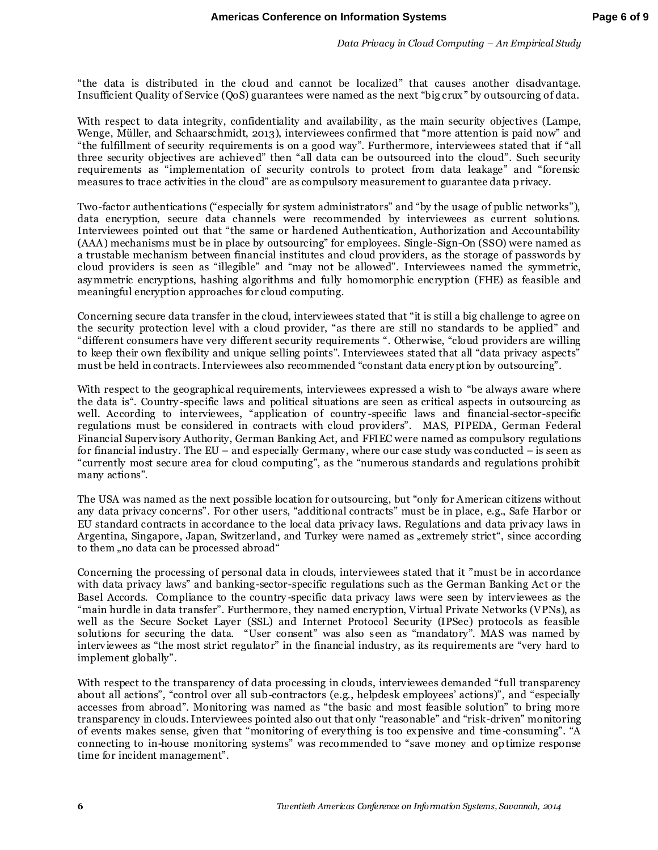"the data is distributed in the cloud and cannot be localized" that causes another disadvantage. Insufficient Quality of Service (QoS) guarantees were named as the next "big crux" by outsourcing of data.

With respect to data integrity, confidentiality and availability, as the main security objectives (Lampe, Wenge, Müller, and Schaarschmidt, 2013), interviewees confirmed that "more attention is paid now" and "the fulfillment of security requirements is on a good way". Furthermore, interviewees stated that if "all three security objectives are achieved" then "all data can be outsourced into the cloud". Such security requirements as "implementation of security controls to protect from data leakage" and "forensic measures to trace activities in the cloud" are as compulsory measurement to guarantee data privacy.

Two-factor authentications ("especially for system administrators" and "by the usage of public networks"), data encryption, secure data channels were recommended by interviewees as current solutions. Interviewees pointed out that "the same or hardened Authentication, Authorization and Accountability (AAA) mechanisms must be in place by outsourcing" for employees. Single-Sign-On (SSO) were named as a trustable mechanism between financial institutes and cloud providers, as the storage of passwords by cloud providers is seen as "illegible" and "may not be allowed". Interviewees named the symmetric, asy mmetric encryptions, hashing algorithms and fully homomorphic encryption (FHE) as feasible and meaningful encryption approaches for cloud computing.

Concerning secure data transfer in the cloud, interviewees stated that "it is still a big challenge to agree on the security protection level with a cloud provider, "as there are still no standards to be applied" and "different consumers have very different security requirements ". Otherwise, "cloud providers are willing to keep their own flexibility and unique selling points". Interviewees stated that all "data privacy aspects" must be held in contracts. Interviewees also recommended "constant data encry ption by outsourcing".

With respect to the geographical requirements, interviewees expressed a wish to "be always aware where" the data is". Country -specific laws and political situations are seen as critical aspects in outsourcing as well. According to interviewees, "application of country-specific laws and financial-sector-specific regulations must be considered in contracts with cloud providers". MAS, PIPEDA, German Federal Financial Supervisory Authority, German Banking Act, and FFIEC were named as compulsory regulations for financial industry. The EU – and especially Germany, where our case study was conducted – is seen as "currently most secure area for cloud computing", as the "numerous standards and regulations prohibit many actions".

The USA was named as the next possible location for outsourcing, but "only for American citizens without any data privacy concerns". For other users, "additional contracts" must be in place, e.g., Safe Harbor or EU standard contracts in accordance to the local data privacy laws. Regulations and data privacy laws in Argentina, Singapore, Japan, Switzerland, and Turkey were named as "extremely strict", since according to them , no data can be processed abroad"

Concerning the processing of personal data in clouds, interviewees stated that it "must be in accordance with data privacy laws" and banking-sector-specific regulations such as the German Banking Act or the Basel Accords. Compliance to the country -specific data privacy laws were seen by interviewees as the "main hurdle in data transfer". Furthermore, they named encryption, Virtual Private Networks (VPNs), as well as the Secure Socket Layer (SSL) and Internet Protocol Security (IPSec) protocols as feasible solutions for securing the data. "User consent" was also seen as "mandatory". MAS was named by interviewees as "the most strict regulator" in the financial industry, as its requirements are "very hard to implement globally".

With respect to the transparency of data processing in clouds, interviewees demanded "full transparency about all actions", "control over all sub-contractors (e.g., helpdesk employees' actions)", and "especially accesses from abroad". Monitoring was named as "the basic and most feasible solution" to bring more transparency in clouds. Interviewees pointed also out that only "reasonable" and "risk-driven" monitoring of events makes sense, given that "monitoring of every thing is too expensive and time -consuming". "A connecting to in-house monitoring systems" was recommended to "save money and optimize response time for incident management".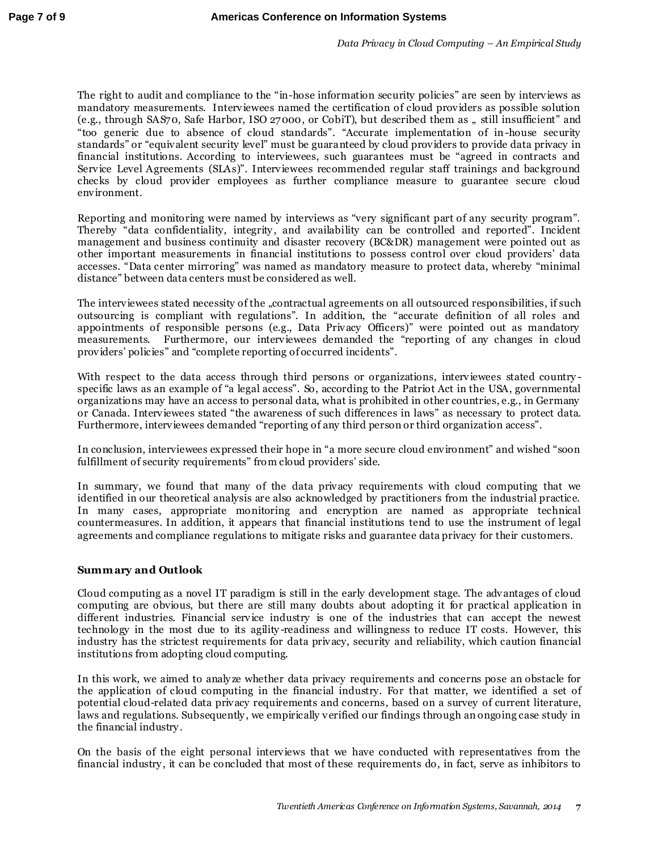The right to audit and compliance to the "in-hose information security policies" are seen by interviews as mandatory measurements. Interviewees named the certification of cloud providers as possible solution (e.g., through SAS70, Safe Harbor, ISO 27000, or CobiT), but described them as " still insufficient" and "too generic due to absence of cloud standards". "Accurate implementation of in-house security standards" or "equivalent security level" must be guaranteed by cloud providers to provide data privacy in financial institutions. According to interviewees, such guarantees must be "agreed in contracts and Service Level Agreements (SLAs)". Interviewees recommended regular staff trainings and background checks by cloud provider employees as further compliance measure to guarantee secure cloud environment.

Reporting and monitoring were named by interviews as "very significant part of any security program". Thereby "data confidentiality, integrity , and availability can be controlled and reported". Incident management and business continuity and disaster recovery (BC&DR) management were pointed out as other important measurements in financial institutions to possess control over cloud providers' data accesses. "Data center mirroring" was named as mandatory measure to protect data, whereby "minimal distance" between data centers must be considered as well.

The interviewees stated necessity of the ..contractual agreements on all outsourced responsibilities, if such outsourcing is compliant with regulations". In addition, the "accurate definition of all roles and appointments of responsible persons (e.g., Data Privacy Officers)" were pointed out as mandatory measurements. Furthermore, our interviewees demanded the "reporting of any changes in cloud providers' policies" and "complete reporting of occurred incidents".

With respect to the data access through third persons or organizations, interviewees stated countryspecific laws as an example of "a legal access". So, according to the Patriot Act in the USA, governmental organizations may have an access to personal data, what is prohibited in other countries, e.g., in Germany or Canada. Interviewees stated "the awareness of such differences in laws" as necessary to protect data. Furthermore, interviewees demanded "reporting of any third person or third organization access".

In conclusion, interviewees expressed their hope in "a more secure cloud environment" and wished "soon fulfillment of security requirements" from cloud providers' side.

In summary, we found that many of the data privacy requirements with cloud computing that we identified in our theoretical analysis are also acknowledged by practitioners from the industrial practice. In many cases, appropriate monitoring and encryption are named as appropriate technical countermeasures. In addition, it appears that financial institutions tend to use the instrument of legal agreements and compliance regulations to mitigate risks and guarantee data privacy for their customers.

#### **Summ ary and Outlook**

Cloud computing as a novel IT paradigm is still in the early development stage. The advantages of cloud computing are obvious, but there are still many doubts about adopting it for practical application in different industries. Financial service industry is one of the industries that can accept the newest technology in the most due to its agility -readiness and willingness to reduce IT costs. However, this industry has the strictest requirements for data privacy, security and reliability, which caution financial institutions from adopting cloud computing.

In this work, we aimed to analy ze whether data privacy requirements and concerns pose an obstacle for the application of cloud computing in the financial industry. For that matter, we identified a set of potential cloud-related data privacy requirements and concerns, based on a survey of current literature, laws and regulations. Subsequently , we empirically verified our findings through an ongoing case study in the financial industry .

On the basis of the eight personal interviews that we have conducted with representatives from the financial industry , it can be concluded that most of these requirements do, in fact, serve as inhibitors to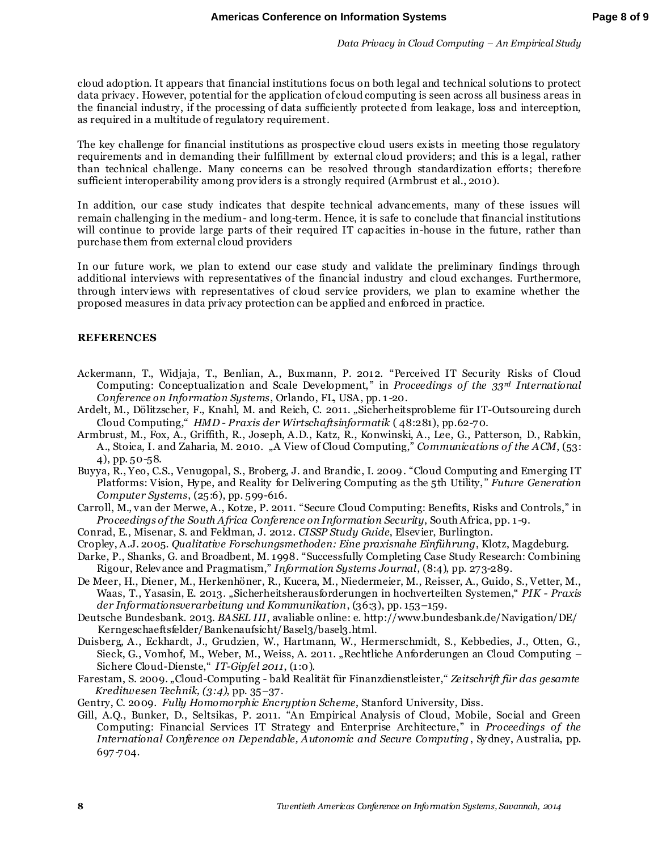cloud adoption. It appears that financial institutions focus on both legal and technical solutions to protect data privacy . However, potential for the application of cloud computing is seen across all business areas in the financial industry, if the processing of data sufficiently protected from leakage, loss and interception, as required in a multitude of regulatory requirement.

The key challenge for financial institutions as prospective cloud users exists in meeting those regulatory requirements and in demanding their fulfillment by external cloud providers; and this is a legal, rather than technical challenge. Many concerns can be resolved through standardization efforts; therefore sufficient interoperability among providers is a strongly required (Armbrust et al., 2010).

In addition, our case study indicates that despite technical advancements, many of these issues will remain challenging in the medium- and long-term. Hence, it is safe to conclude that financial institutions will continue to provide large parts of their required IT capacities in-house in the future, rather than purchase them from external cloud providers

In our future work, we plan to extend our case study and validate the preliminary findings through additional interviews with representatives of the financial industry and cloud exchanges. Furthermore, through interviews with representatives of cloud service providers, we plan to examine whether the proposed measures in data privacy protection can be applied and enforced in practice.

#### **REFERENCES**

- Ackermann, T., Widjaja, T., Benlian, A., Buxmann, P. 2012. "Perceived IT Security Risks of Cloud Computing: Conceptualization and Scale Development," in *Proceedings of the 33<sup>rd</sup> International Conference on Information Systems*, Orlando, FL, USA, pp. 1 -20.
- Ardelt, M., Dölitzscher, F., Knahl, M. and Reich, C. 2011. "Sicherheitsprobleme für IT-Outsourcing durch Cloud Computing," *HMD - Praxis der Wirtschaftsinformatik* ( 48:281), pp.62-70.
- Armbrust, M., Fox, A., Griffith, R., Joseph, A.D., Katz, R., Konwinski, A., Lee, G., Patterson, D., Rabkin, A., Stoica, I. and Zaharia, M. 2010. "A View of Cloud Computing," *Communications of the ACM*, (53: 4), pp. 50-58.
- Buyya, R., Yeo, C.S., Venugopal, S., Broberg, J. and Brandic, I. 2009. "Cloud Computing and Emerging IT Platforms: Vision, Hy pe, and Reality for Delivering Computing as the 5th Utility, " *Future Generation Computer Systems*, (25:6), pp. 599-616.
- Carroll, M., van der Merwe, A., Kotze, P. 2011. "Secure Cloud Computing: Benefits, Risks and Controls," in *Proceedings of the South Africa Conference on Information Security*, South Africa, pp. 1 -9.
- Conrad, E., Misenar, S. and Feldman, J. 2012. *CISSP Study Guide*, Elsevier, Burlington.
- Cropley, A.J. 2005. *Qualitative Forschungsmethoden: Eine praxisnahe Einführung*, Klotz, Magdeburg.
- Darke, P., Shanks, G. and Broadbent, M. 1998. "Successfully Completing Case Study Research: Combining Rigour, Relevance and Pragmatism," *Information Systems Journal*, (8:4), pp. 273-289.
- De Meer, H., Diener, M., Herkenhöner, R., Kucera, M., Niedermeier, M., Reisser, A., Guido, S., Vetter, M., Waas, T., Yasasin, E. 2013. "Sicherheitsherausforderungen in hochverteilten Systemen," *PIK - Praxis der Informationsverarbeitung und Kommunikation*, (36:3), pp. 153–159.
- Deutsche Bundesbank. 2013. *BASEL III*, avaliable online: e. http://www.bundesbank.de/Navigation/DE/ Kerngeschaeftsfelder/Bankenaufsicht/Basel3/basel3.html.
- Duisberg, A., Eckhardt, J., Grudzien, W., Hartmann, W., Hermerschmidt, S., Kebbedies, J., Otten, G., Sieck, G., Vomhof, M., Weber, M., Weiss, A. 2011. "Rechtliche Anforderungen an Cloud Computing – Sichere Cloud-Dienste," *IT-Gipfel 2011*, (1 :0).
- Farestam, S. 2009. "Cloud-Computing bald Realität für Finanzdienstleister," *Zeitschrift für das gesamte Kreditwesen Technik, (3:4)*, pp. 35–37.
- Gentry, C. 2009. *Fully Homomorphic Encryption Scheme*, Stanford University, Diss.
- Gill, A.Q., Bunker, D., Seltsikas, P. 2011. "An Empirical Analysis of Cloud, Mobile, Social and Green Computing: Financial Services IT Strategy and Enterprise Architecture," in *Proceedings of the International Conference on Dependable, Autonomic and Secure Computing*, Sy dney, Australia, pp. 697-704.